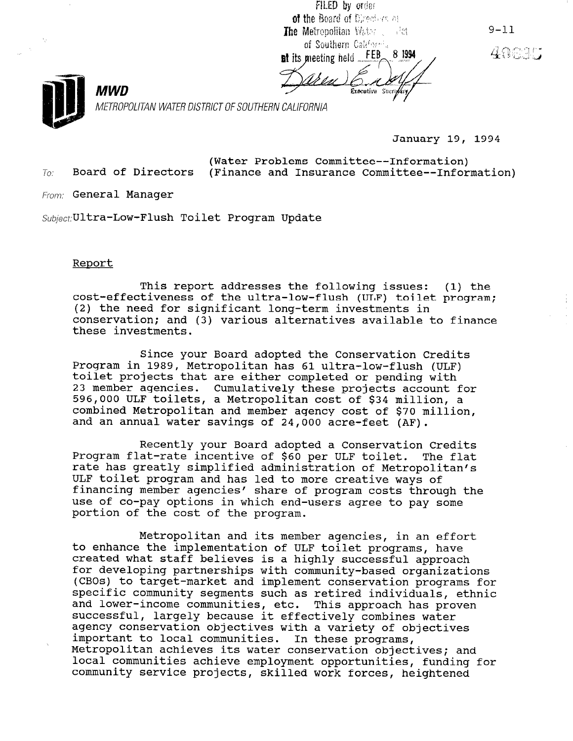FILED by order of the Board of Directors of The Metropolitan Water and the of Southern California 8 1994

at its meeting held FEB

 $9 - 11$ 

 $\mathcal{A}\Omega$ ena H



METROPOLITAN WATER DISTRICT OF SOUTHERN CALIFORNIA

January 19, 1994

(Water Problems Committee--Information)  $T_{\text{O}}$ : Board of Directors (Finance and Insurance Committee--Information)

From: General Manager

**MWD** 

Subject:Ultra-Low-Flush Toilet Program Update

## Report

This report addresses the following issues: (1) the cost-effectiveness of the ultra-low-flush (ULF) toilet program; (2) the need for significant long-term investments in conservation; and (3) various alternatives available to finance these investments.

Since your Board adopted the Conservation Credits Program in 1989, Metropolitan has 61 ultra-low-flush (ULF) toilet projects that are either completed or pending with 23 member agencies. Cumulatively these projects account for 25 member agencies. Cumulacively chese projects account it<br>596,000 ULF toilets, a Metropolitan cost of \$34 million, a combined Metropolitan and member agency cost of \$70 million, and an annual water savings of 24,000 acre-feet (AF).

Recently your Board adopted a Conservation Credits Program flat-rate incentive of \$60 per ULF toilet. The flat rate has greatly simplified administration of Metropolitan's ULF toilet program and has led to more creative ways of financing member agencies' share of program costs through the use of co-pay options in which end-users agree to prove to pay use of co-pay operons in which end

Metropolitan and its member agencies, in an effort netropolitan and its member agencies, in an effort co enhance the implementation of the tollet programs, have created what starr believes is a nighly successful approach<br>Community-based organizations for developing partnerships with community-based organizations (CBOs) to target-market and implement conservation programs for specific community segments such as retired individuals, ethnic and lower-income communities, etc. This approach has proven successful, largely because it effectively combines water agency conservation objectives with a variety of objectives important to local communities. In these programs, Metropolitan achieves its water conservation objectives; and local communities achieve employment opportunities, funding for<br>community service projects, skilled work forces, heightened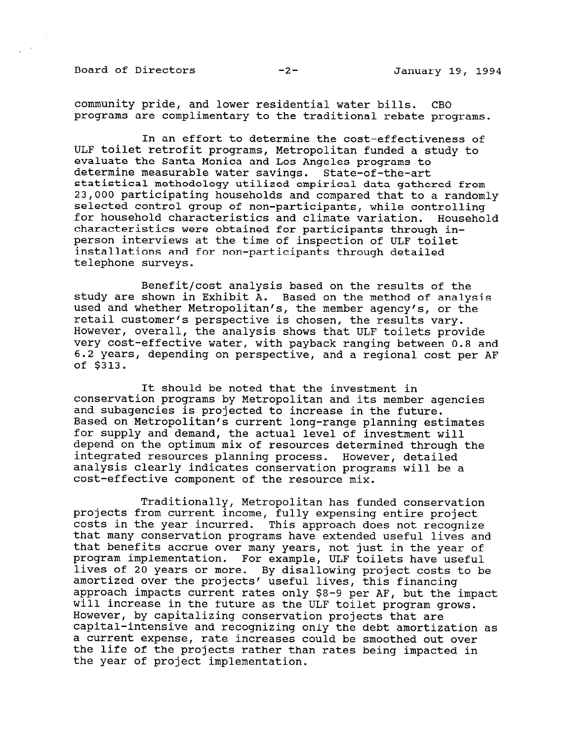community pride, and lower residential water bills. CBO programs are complimentary to the traditional rebate programs.

In an effort to determine the cost-effectiveness of ULF toilet retrofit programs, Metropolitan funded a study to evaluate the Santa Monica and Los Angeles programs to determine measurable water savings. State-of-the-art statistical methodology utilized empirical data gathered from 23,000 participating households and compared that to a randomly selected control group of non-participants, while controlling for household characteristics and climate variation. Household characteristics were obtained for participants through inperson interviews at the time of inspection of ULF toilet installations and for non-participants through detailed telephone surveys.

Benefit/cost analysis based on the results of the study are shown in Exhibit A. Based on the method of analysis used and whether Metropolitan's, the member agency's, or the retail customer's perspective is chosen, the results vary. However, overall, the analysis shows that ULF toilets provide very cost-effective water, with payback ranging between 0.8 and 6.2 years, depending on perspective, and a regional cost per AF of \$313.

It should be noted that the investment in conservation programs by Metropolitan and its member agencies and subagencies is projected to increase in the future. Based on Metropolitan's current long-range planning estimates for supply and demand, the actual level of investment will depend on the optimum mix of resources determined through the integrated resources planning process. However, detailed analysis clearly indicates conservation programs will be a cost-effective component of the resource mix.

Traditionally, Metropolitan has funded conservation projects from current income, fully expensive entire projects projects from current ficome, fully expensing entire projection of the second projection of the second product costs in the year incurred. This approach does not recognize<br>that many conservation programs have extended useful lives and that many conservation programs have extended useful fives an program implementation. For example, ULF to late have useful program implementation. For example, ULF toilets have useful lives of 20 years or more. By disallowing project costs to be amortized over the projects' useful lives, this financing approach impacts current rates only \$8-9 per AF, but the impact will increase in the future as the ULF toilet program grows.<br>However, by capitalizing conservation projects that are nowever, by capitalizing conservation projects that are capital-intensive and recognizing only the debt amortization a current expense, rate increases could be smoothed out over the life of the projects rather than rates being impacted in the year of project implementation.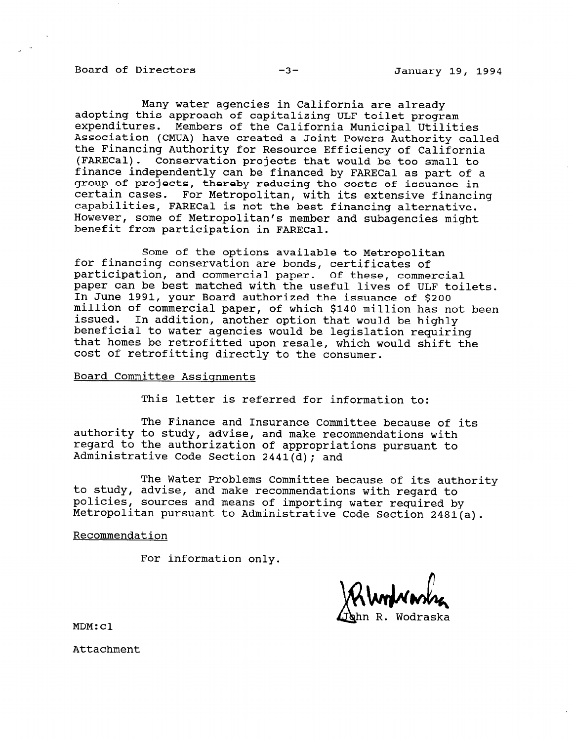Board of Directors -3- January 19, 1994

Many water agencies in California are already adopting this approach of capitalizing ULF toilet program expenditures. Members of the California Municipal Utilities Association (CMUA) have created a Joint Powers Authority called the Financing Authority for Resource Efficiency of California (FARECal). Conservation projects that would be too small to finance independently can be financed by FARECal as part of a group of projects, thereby reducing the costs of issuance in certain cases. For Metropolitan, with its extensive financi capabilities. FARECal is not the best financing alternat However, some of Metropolitan's member and subagencies might benefit from participation in FARECal.

Some of the options available to Metropolitan for financing conservation are bonds, certificates of participation, and commercial paper. Of these, commercial paper can be best matched with the useful lives of ULF toilets. In June 1991, your Board authorized the issuance of \$200 million of commercial paper, of which \$140 million has not been issued. In addition, another option that would be highly beneficial to water agencies would be legislation requiring that homes be retrofitted upon resale, which would shift the cost of retrofitting directly to the consumer.

## Board Committee Assignments

This letter is referred for information to:

The Finance and Insurance Committee because of its authority to study, advise, and make recommendations with authority to study, auvise, and make recommendations with Administrative Code Section 2441(d); and

The Water Problems Committee because of its authority to study, advise, policies<br>Policies and make recommendations with regard to advise, and make recommendations with regard to policies, sources and means of importing water required by

Recommendation

For information only.

 $\Lambda$  here  $\Lambda$  wodrask

MDM:cl

Attachment